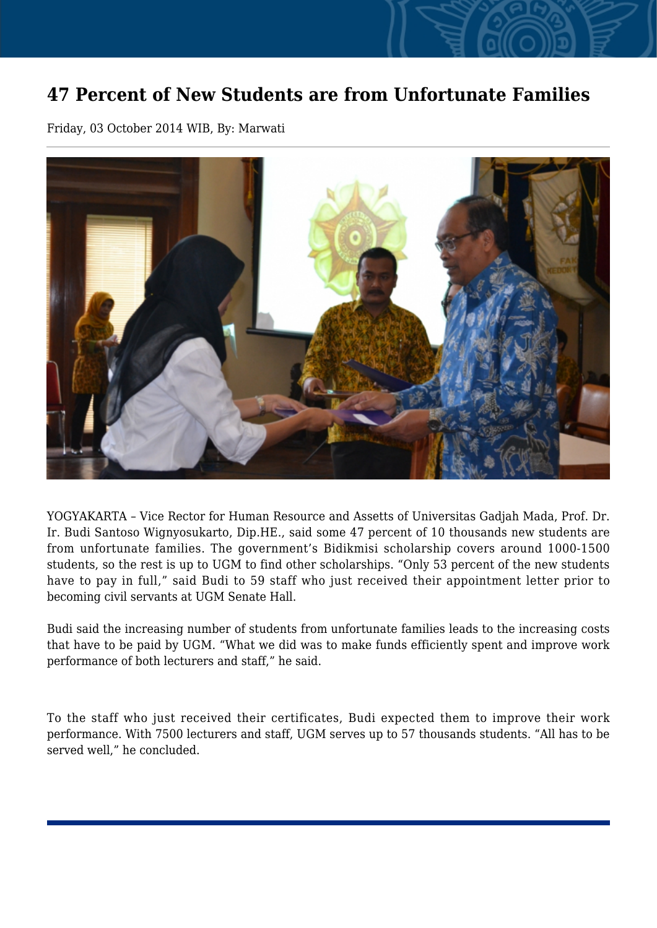## **47 Percent of New Students are from Unfortunate Families**

Friday, 03 October 2014 WIB, By: Marwati



YOGYAKARTA – Vice Rector for Human Resource and Assetts of Universitas Gadjah Mada, Prof. Dr. Ir. Budi Santoso Wignyosukarto, Dip.HE., said some 47 percent of 10 thousands new students are from unfortunate families. The government's Bidikmisi scholarship covers around 1000-1500 students, so the rest is up to UGM to find other scholarships. "Only 53 percent of the new students have to pay in full," said Budi to 59 staff who just received their appointment letter prior to becoming civil servants at UGM Senate Hall.

Budi said the increasing number of students from unfortunate families leads to the increasing costs that have to be paid by UGM. "What we did was to make funds efficiently spent and improve work performance of both lecturers and staff," he said.

To the staff who just received their certificates, Budi expected them to improve their work performance. With 7500 lecturers and staff, UGM serves up to 57 thousands students. "All has to be served well," he concluded.